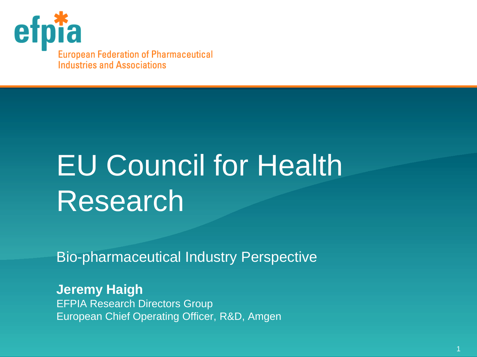

# EU Council for Health Research

Bio-pharmaceutical Industry Perspective

**Jeremy Haigh** EFPIA Research Directors Group European Chief Operating Officer, R&D, Amgen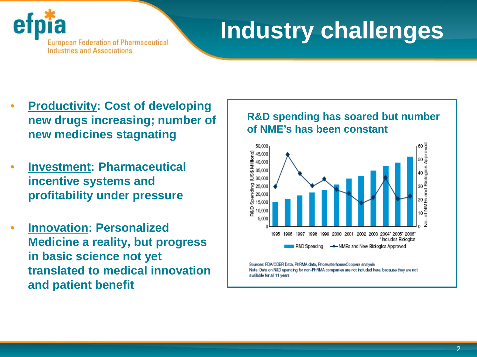

### **Industry challenges**

- **Productivity: Cost of developing new drugs increasing; number of new medicines stagnating**
- **Investment: Pharmaceutical incentive systems and profitability under pressure**
- **Innovation: Personalized Medicine a reality, but progress in basic science not yet translated to medical innovation and patient benefit**

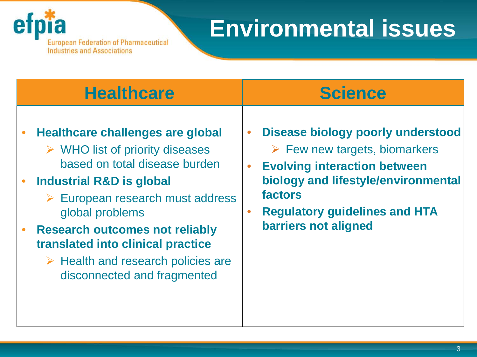

**European Federation of Pharmaceutical<br>Industries and Associations** 

### **Environmental issues**

| <b>Healthcare</b>                                 | <b>Science</b>                               |
|---------------------------------------------------|----------------------------------------------|
| <b>Healthcare challenges are global</b>           | Disease biology poorly understood            |
| $\triangleright$ WHO list of priority diseases    | $\bullet$                                    |
| based on total disease burden                     | $\triangleright$ Few new targets, biomarkers |
| <b>Industrial R&amp;D is global</b>               | <b>Evolving interaction between</b>          |
| $\triangleright$ European research must address   | $\bullet$                                    |
| global problems                                   | biology and lifestyle/environmental          |
| <b>Research outcomes not reliably</b>             | factors                                      |
| translated into clinical practice                 | <b>Regulatory guidelines and HTA</b>         |
| $\triangleright$ Health and research policies are | $\bullet$                                    |
| disconnected and fragmented                       | barriers not aligned                         |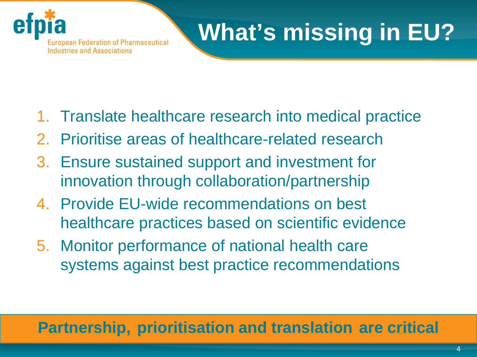

## **What's missing in EU?**

- 1. Translate healthcare research into medical practice
- 2. Prioritise areas of healthcare-related research
- 3. Ensure sustained support and investment for innovation through collaboration/partnership
- 4. Provide EU-wide recommendations on best healthcare practices based on scientific evidence
- 5. Monitor performance of national health care systems against best practice recommendations

#### **Partnership, prioritisation and translation are critical**